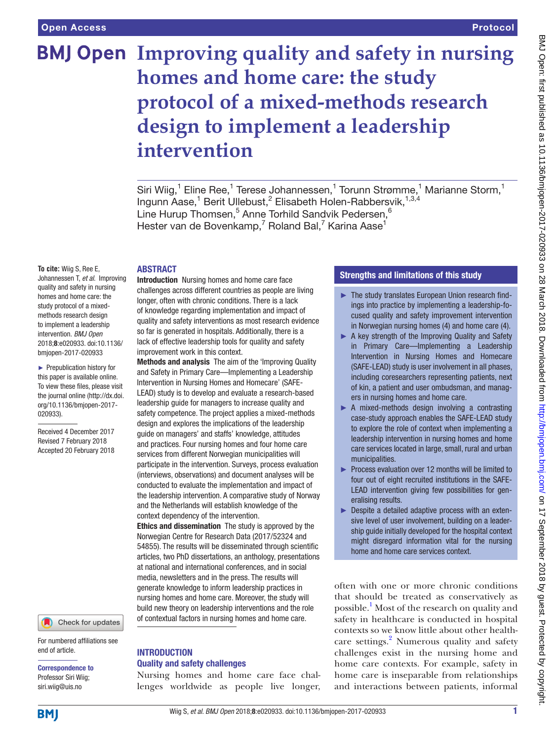# **BMJ Open Improving quality and safety in nursing homes and home care: the study protocol of a mixed-methods research design to implement a leadership intervention**

Siri Wiig,<sup>1</sup> Eline Ree,<sup>1</sup> Terese Johannessen,<sup>1</sup> Torunn Strømme,<sup>1</sup> Marianne Storm,<sup>1</sup> Ingunn Aase,<sup>1</sup> Berit Ullebust,<sup>2</sup> Elisabeth Holen-Rabbersvik,<sup>1,3,4</sup> Line Hurup Thomsen,<sup>5</sup> Anne Torhild Sandvik Pedersen,<sup>6</sup> Hester van de Bovenkamp,<sup>7</sup> Roland Bal,<sup>7</sup> Karina Aase<sup>1</sup>

#### **ABSTRACT**

**To cite:** Wiig S, Ree E, Johannessen T, *et al*. Improving quality and safety in nursing homes and home care: the study protocol of a mixedmethods research design to implement a leadership intervention. *BMJ Open* 2018;8:e020933. doi:10.1136/ bmjopen-2017-020933

► Prepublication history for this paper is available online. To view these files, please visit the journal online [\(http://dx.doi.](http://dx.doi.org/10.1136/bmjopen-2017-020933) [org/10.1136/bmjopen-2017-](http://dx.doi.org/10.1136/bmjopen-2017-020933) [020933\)](http://dx.doi.org/10.1136/bmjopen-2017-020933).

Received 4 December 2017 Revised 7 February 2018 Accepted 20 February 2018



For numbered affiliations see end of article.

Correspondence to Professor Siri Wiig; siri.wiig@uis.no

Introduction Nursing homes and home care face challenges across different countries as people are living longer, often with chronic conditions. There is a lack of knowledge regarding implementation and impact of quality and safety interventions as most research evidence so far is generated in hospitals. Additionally, there is a lack of effective leadership tools for quality and safety improvement work in this context.

Methods and analysis The aim of the 'Improving Quality and Safety in Primary Care—Implementing a Leadership Intervention in Nursing Homes and Homecare' (SAFE-LEAD) study is to develop and evaluate a research-based leadership guide for managers to increase quality and safety competence. The project applies a mixed-methods design and explores the implications of the leadership guide on managers' and staffs' knowledge, attitudes and practices. Four nursing homes and four home care services from different Norwegian municipalities will participate in the intervention. Surveys, process evaluation (interviews, observations) and document analyses will be conducted to evaluate the implementation and impact of the leadership intervention. A comparative study of Norway and the Netherlands will establish knowledge of the context dependency of the intervention.

Ethics and dissemination The study is approved by the Norwegian Centre for Research Data (2017/52324 and 54855). The results will be disseminated through scientific articles, two PhD dissertations, an anthology, presentations at national and international conferences, and in social media, newsletters and in the press. The results will generate knowledge to inform leadership practices in nursing homes and home care. Moreover, the study will build new theory on leadership interventions and the role of contextual factors in nursing homes and home care.

#### **INTRODUCTION** Quality and safety challenges

Nursing homes and home care face challenges worldwide as people live longer,

# Strengths and limitations of this study

- ► The study translates European Union research findings into practice by implementing a leadership-focused quality and safety improvement intervention in Norwegian nursing homes (4) and home care (4).
- ► A key strength of the Improving Quality and Safety in Primary Care—Implementing a Leadership Intervention in Nursing Homes and Homecare (SAFE-LEAD) study is user involvement in all phases, including coresearchers representing patients, next of kin, a patient and user ombudsman, and managers in nursing homes and home care.
- ▶ A mixed-methods design involving a contrasting case-study approach enables the SAFE-LEAD study to explore the role of context when implementing a leadership intervention in nursing homes and home care services located in large, small, rural and urban municipalities.
- ► Process evaluation over 12 months will be limited to four out of eight recruited institutions in the SAFE-LEAD intervention giving few possibilities for generalising results.
- ► Despite a detailed adaptive process with an extensive level of user involvement, building on a leadership guide initially developed for the hospital context might disregard information vital for the nursing home and home care services context.

often with one or more chronic conditions that should be treated as conservatively as possible.<sup>[1](#page-7-0)</sup> Most of the research on quality and safety in healthcare is conducted in hospital contexts so we know little about other health-care settings.<sup>[2](#page-7-1)</sup> Numerous quality and safety challenges exist in the nursing home and home care contexts. For example, safety in home care is inseparable from relationships and interactions between patients, informal

**BMI**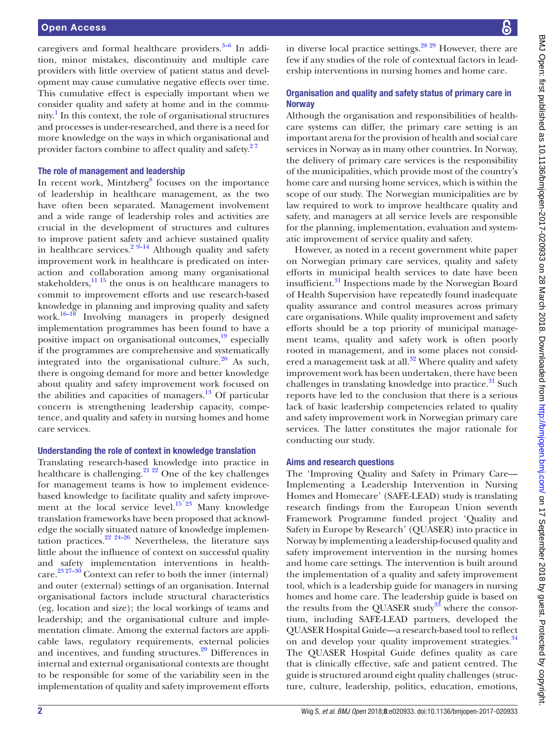caregivers and formal healthcare providers. $3-6$  In addition, minor mistakes, discontinuity and multiple care providers with little overview of patient status and development may cause cumulative negative effects over time. This cumulative effect is especially important when we consider quality and safety at home and in the commu-nity.<sup>[1](#page-7-0)</sup> In this context, the role of organisational structures and processes is under-researched, and there is a need for more knowledge on the ways in which organisational and provider factors combine to affect quality and safety.<sup>27</sup>

#### The role of management and leadership

In recent work, Mintzberg<sup>[8](#page-7-3)</sup> focuses on the importance of leadership in healthcare management, as the two have often been separated. Management involvement and a wide range of leadership roles and activities are crucial in the development of structures and cultures to improve patient safety and achieve sustained quality in healthcare services. $2^{9-14}$  Although quality and safety improvement work in healthcare is predicated on interaction and collaboration among many organisational stakeholders, $\frac{11 \text{ } 15}{2}$  the onus is on healthcare managers to commit to improvement efforts and use research-based knowledge in planning and improving quality and safety work.[16–18](#page-7-5) Involving managers in properly designed implementation programmes has been found to have a positive impact on organisational outcomes,<sup>19</sup> especially if the programmes are comprehensive and systematically integrated into the organisational culture.<sup>20</sup> As such, there is ongoing demand for more and better knowledge about quality and safety improvement work focused on the abilities and capacities of managers. $13$  Of particular concern is strengthening leadership capacity, competence, and quality and safety in nursing homes and home care services.

#### Understanding the role of context in knowledge translation

Translating research-based knowledge into practice in healthcare is challenging.<sup>[21 22](#page-7-9)</sup> One of the key challenges for management teams is how to implement evidencebased knowledge to facilitate quality and safety improvement at the local service level.<sup>15'23</sup> Many knowledge translation frameworks have been proposed that acknowledge the socially situated nature of knowledge implementation practices.<sup>22 24–26</sup> Nevertheless, the literature says little about the influence of context on successful quality and safety implementation interventions in healthcare.<sup>23 27–30</sup> Context can refer to both the inner (internal) and outer (external) settings of an organisation. Internal organisational factors include structural characteristics (eg, location and size); the local workings of teams and leadership; and the organisational culture and implementation climate. Among the external factors are applicable laws, regulatory requirements, external policies and incentives, and funding structures.<sup>29</sup> Differences in internal and external organisational contexts are thought to be responsible for some of the variability seen in the implementation of quality and safety improvement efforts

in diverse local practice settings. $^{28}$   $^{29}$  However, there are few if any studies of the role of contextual factors in leadership interventions in nursing homes and home care.

#### Organisation and quality and safety status of primary care in **Norway**

Although the organisation and responsibilities of healthcare systems can differ, the primary care setting is an important arena for the provision of health and social care services in Norway as in many other countries. In Norway, the delivery of primary care services is the responsibility of the municipalities, which provide most of the country's home care and nursing home services, which is within the scope of our study. The Norwegian municipalities are by law required to work to improve healthcare quality and safety, and managers at all service levels are responsible for the planning, implementation, evaluation and systematic improvement of service quality and safety.

However, as noted in a recent government white paper on Norwegian primary care services, quality and safety efforts in municipal health services to date have been insufficient.<sup>31</sup> Inspections made by the Norwegian Board of Health Supervision have repeatedly found inadequate quality assurance and control measures across primary care organisations. While quality improvement and safety efforts should be a top priority of municipal management teams, quality and safety work is often poorly rooted in management, and in some places not considered a management task at all.<sup>32</sup> Where quality and safety improvement work has been undertaken, there have been challenges in translating knowledge into practice.<sup>[31](#page-7-15)</sup> Such reports have led to the conclusion that there is a serious lack of basic leadership competencies related to quality and safety improvement work in Norwegian primary care services. The latter constitutes the major rationale for conducting our study.

#### Aims and research questions

The 'Improving Quality and Safety in Primary Care— Implementing a Leadership Intervention in Nursing Homes and Homecare' (SAFE-LEAD) study is translating research findings from the European Union seventh Framework Programme funded project 'Quality and Safety in Europe by Research' (QUASER) into practice in Norway by implementing a leadership-focused quality and safety improvement intervention in the nursing homes and home care settings. The intervention is built around the implementation of a quality and safety improvement tool, which is a leadership guide for managers in nursing homes and home care. The leadership guide is based on the results from the QUASER study<sup>[33](#page-7-17)</sup> where the consortium, including SAFE-LEAD partners, developed the QUASER Hospital Guide—a research-based tool to reflect on and develop your quality improvement strategies.<sup>[34](#page-7-18)</sup> The QUASER Hospital Guide defines quality as care that is clinically effective, safe and patient centred. The guide is structured around eight quality challenges (structure, culture, leadership, politics, education, emotions,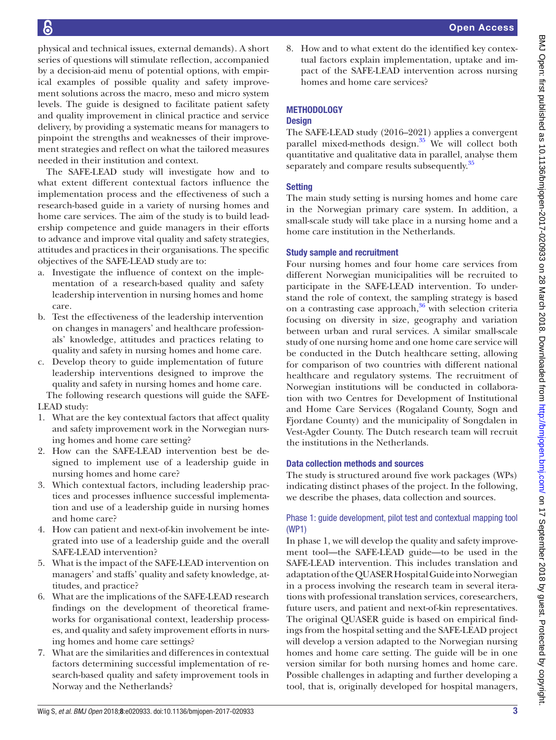physical and technical issues, external demands). A short series of questions will stimulate reflection, accompanied by a decision-aid menu of potential options, with empirical examples of possible quality and safety improvement solutions across the macro, meso and micro system levels. The guide is designed to facilitate patient safety and quality improvement in clinical practice and service delivery, by providing a systematic means for managers to pinpoint the strengths and weaknesses of their improvement strategies and reflect on what the tailored measures needed in their institution and context.

The SAFE-LEAD study will investigate how and to what extent different contextual factors influence the implementation process and the effectiveness of such a research-based guide in a variety of nursing homes and home care services. The aim of the study is to build leadership competence and guide managers in their efforts to advance and improve vital quality and safety strategies, attitudes and practices in their organisations. The specific objectives of the SAFE-LEAD study are to:

- a. Investigate the influence of context on the implementation of a research-based quality and safety leadership intervention in nursing homes and home care.
- b. Test the effectiveness of the leadership intervention on changes in managers' and healthcare professionals' knowledge, attitudes and practices relating to quality and safety in nursing homes and home care.
- c. Develop theory to guide implementation of future leadership interventions designed to improve the quality and safety in nursing homes and home care.

The following research questions will guide the SAFE-LEAD study:

- 1. What are the key contextual factors that affect quality and safety improvement work in the Norwegian nursing homes and home care setting?
- 2. How can the SAFE-LEAD intervention best be designed to implement use of a leadership guide in nursing homes and home care?
- 3. Which contextual factors, including leadership practices and processes influence successful implementation and use of a leadership guide in nursing homes and home care?
- 4. How can patient and next-of-kin involvement be integrated into use of a leadership guide and the overall SAFE-LEAD intervention?
- 5. What is the impact of the SAFE-LEAD intervention on managers' and staffs' quality and safety knowledge, attitudes, and practice?
- 6. What are the implications of the SAFE-LEAD research findings on the development of theoretical frameworks for organisational context, leadership processes, and quality and safety improvement efforts in nursing homes and home care settings?
- 7. What are the similarities and differences in contextual factors determining successful implementation of research-based quality and safety improvement tools in Norway and the Netherlands?

8. How and to what extent do the identified key contextual factors explain implementation, uptake and impact of the SAFE-LEAD intervention across nursing homes and home care services?

# **METHODOLOGY**

# **Design**

The SAFE-LEAD study (2016–2021) applies a convergent parallel mixed-methods design. $35$  We will collect both quantitative and qualitative data in parallel, analyse them separately and compare results subsequently.<sup>[35](#page-7-19)</sup>

# **Setting**

The main study setting is nursing homes and home care in the Norwegian primary care system. In addition, a small-scale study will take place in a nursing home and a home care institution in the Netherlands.

#### Study sample and recruitment

Four nursing homes and four home care services from different Norwegian municipalities will be recruited to participate in the SAFE-LEAD intervention. To understand the role of context, the sampling strategy is based on a contrasting case approach, $36$  with selection criteria focusing on diversity in size, geography and variation between urban and rural services. A similar small-scale study of one nursing home and one home care service will be conducted in the Dutch healthcare setting, allowing for comparison of two countries with different national healthcare and regulatory systems. The recruitment of Norwegian institutions will be conducted in collaboration with two Centres for Development of Institutional and Home Care Services (Rogaland County, Sogn and Fjordane County) and the municipality of Songdalen in Vest-Agder County. The Dutch research team will recruit the institutions in the Netherlands.

# Data collection methods and sources

The study is structured around five work packages (WPs) indicating distinct phases of the project. In the following, we describe the phases, data collection and sources.

#### Phase 1: guide development, pilot test and contextual mapping tool (WP1)

In phase 1, we will develop the quality and safety improvement tool—the SAFE-LEAD guide—to be used in the SAFE-LEAD intervention. This includes translation and adaptation of the QUASER Hospital Guide into Norwegian in a process involving the research team in several iterations with professional translation services, coresearchers, future users, and patient and next-of-kin representatives. The original QUASER guide is based on empirical findings from the hospital setting and the SAFE-LEAD project will develop a version adapted to the Norwegian nursing homes and home care setting. The guide will be in one version similar for both nursing homes and home care. Possible challenges in adapting and further developing a tool, that is, originally developed for hospital managers,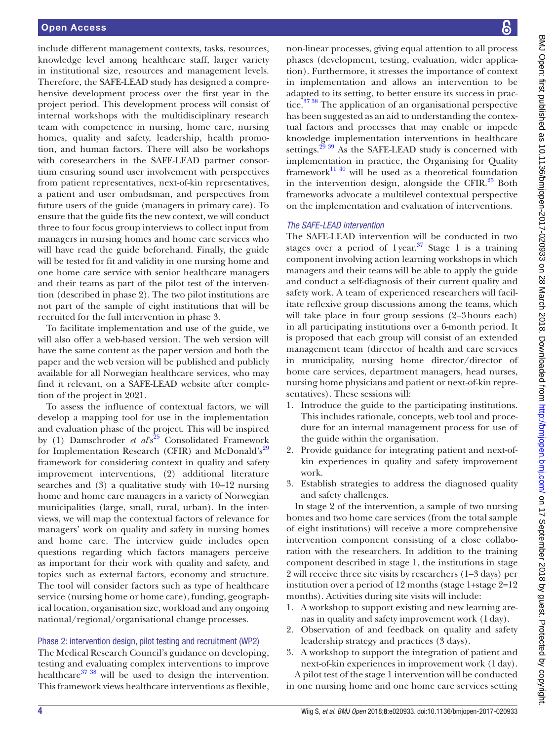include different management contexts, tasks, resources, knowledge level among healthcare staff, larger variety in institutional size, resources and management levels. Therefore, the SAFE-LEAD study has designed a comprehensive development process over the first year in the project period. This development process will consist of internal workshops with the multidisciplinary research team with competence in nursing, home care, nursing homes, quality and safety, leadership, health promotion, and human factors. There will also be workshops with coresearchers in the SAFE-LEAD partner consortium ensuring sound user involvement with perspectives from patient representatives, next-of-kin representatives, a patient and user ombudsman, and perspectives from future users of the guide (managers in primary care). To ensure that the guide fits the new context, we will conduct three to four focus group interviews to collect input from managers in nursing homes and home care services who will have read the guide beforehand. Finally, the guide will be tested for fit and validity in one nursing home and one home care service with senior healthcare managers and their teams as part of the pilot test of the intervention (described in phase 2). The two pilot institutions are not part of the sample of eight institutions that will be recruited for the full intervention in phase 3.

To facilitate implementation and use of the guide, we will also offer a web-based version. The web version will have the same content as the paper version and both the paper and the web version will be published and publicly available for all Norwegian healthcare services, who may find it relevant, on a SAFE-LEAD website after completion of the project in 2021.

To assess the influence of contextual factors, we will develop a mapping tool for use in the implementation and evaluation phase of the project. This will be inspired by (1) Damschroder *et al*<sup>25</sup> Consolidated Framework for Implementation Research (CFIR) and McDonald's<sup>[29](#page-7-13)</sup> framework for considering context in quality and safety improvement interventions, (2) additional literature searches and (3) a qualitative study with 10–12 nursing home and home care managers in a variety of Norwegian municipalities (large, small, rural, urban). In the interviews, we will map the contextual factors of relevance for managers' work on quality and safety in nursing homes and home care. The interview guide includes open questions regarding which factors managers perceive as important for their work with quality and safety, and topics such as external factors, economy and structure. The tool will consider factors such as type of healthcare service (nursing home or home care), funding, geographical location, organisation size, workload and any ongoing national/regional/organisational change processes.

#### Phase 2: intervention design, pilot testing and recruitment (WP2)

The Medical Research Council's guidance on developing, testing and evaluating complex interventions to improve healthcare<sup>37</sup> <sup>38</sup> will be used to design the intervention. This framework views healthcare interventions as flexible,

non-linear processes, giving equal attention to all process phases (development, testing, evaluation, wider application). Furthermore, it stresses the importance of context in implementation and allows an intervention to be adapted to its setting, to better ensure its success in practice.<sup>37 38</sup> The application of an organisational perspective has been suggested as an aid to understanding the contextual factors and processes that may enable or impede knowledge implementation interventions in healthcare settings. $^{29}$ <sup>39</sup> As the SAFE-LEAD study is concerned with implementation in practice, the Organising for Quality framework $^{11}$ <sup>40</sup> will be used as a theoretical foundation in the intervention design, alongside the CFIR. $^{25}$  $^{25}$  $^{25}$  Both frameworks advocate a multilevel contextual perspective on the implementation and evaluation of interventions.

### *The SAFE-LEAD intervention*

The SAFE-LEAD intervention will be conducted in two stages over a period of  $1$ year.<sup>[37](#page-7-22)</sup> Stage 1 is a training component involving action learning workshops in which managers and their teams will be able to apply the guide and conduct a self-diagnosis of their current quality and safety work. A team of experienced researchers will facilitate reflexive group discussions among the teams, which will take place in four group sessions (2–3hours each) in all participating institutions over a 6-month period. It is proposed that each group will consist of an extended management team (director of health and care services in municipality, nursing home director/director of home care services, department managers, head nurses, nursing home physicians and patient or next-of-kin representatives). These sessions will:

- 1. Introduce the guide to the participating institutions. This includes rationale, concepts, web tool and procedure for an internal management process for use of the guide within the organisation.
- 2. Provide guidance for integrating patient and next-ofkin experiences in quality and safety improvement work.
- 3. Establish strategies to address the diagnosed quality and safety challenges.

In stage 2 of the intervention, a sample of two nursing homes and two home care services (from the total sample of eight institutions) will receive a more comprehensive intervention component consisting of a close collaboration with the researchers. In addition to the training component described in stage 1, the institutions in stage 2 will receive three site visits by researchers (1–3 days) per institution over a period of 12 months (stage 1+stage 2=12 months). Activities during site visits will include:

- 1. A workshop to support existing and new learning arenas in quality and safety improvement work (1day).
- 2. Observation of and feedback on quality and safety leadership strategy and practices (3 days).
- 3. A workshop to support the integration of patient and next-of-kin experiences in improvement work (1day).

A pilot test of the stage 1 intervention will be conducted in one nursing home and one home care services setting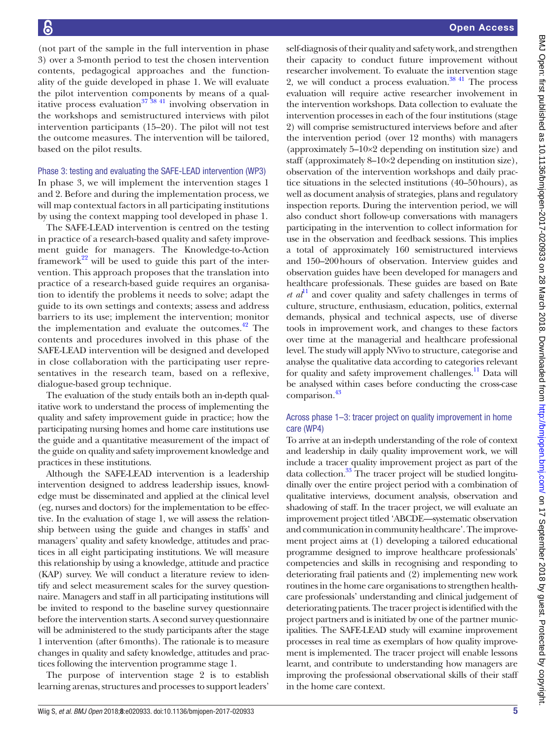(not part of the sample in the full intervention in phase 3) over a 3-month period to test the chosen intervention contents, pedagogical approaches and the functionality of the guide developed in phase 1. We will evaluate the pilot intervention components by means of a qualitative process evaluation<sup>37</sup>  $38$   $41$  involving observation in the workshops and semistructured interviews with pilot intervention participants (15–20). The pilot will not test the outcome measures. The intervention will be tailored, based on the pilot results.

#### Phase 3: testing and evaluating the SAFE-LEAD intervention (WP3)

In phase 3, we will implement the intervention stages 1 and 2. Before and during the implementation process, we will map contextual factors in all participating institutions by using the context mapping tool developed in phase 1.

The SAFE-LEAD intervention is centred on the testing in practice of a research-based quality and safety improvement guide for managers. The Knowledge-to-Action framework<sup>22</sup> will be used to guide this part of the intervention. This approach proposes that the translation into practice of a research-based guide requires an organisation to identify the problems it needs to solve; adapt the guide to its own settings and contexts; assess and address barriers to its use; implement the intervention; monitor the implementation and evaluate the outcomes. $^{42}$  The contents and procedures involved in this phase of the SAFE-LEAD intervention will be designed and developed in close collaboration with the participating user representatives in the research team, based on a reflexive, dialogue-based group technique.

The evaluation of the study entails both an in-depth qualitative work to understand the process of implementing the quality and safety improvement guide in practice; how the participating nursing homes and home care institutions use the guide and a quantitative measurement of the impact of the guide on quality and safety improvement knowledge and practices in these institutions.

Although the SAFE-LEAD intervention is a leadership intervention designed to address leadership issues, knowledge must be disseminated and applied at the clinical level (eg, nurses and doctors) for the implementation to be effective. In the evaluation of stage 1, we will assess the relationship between using the guide and changes in staffs' and managers' quality and safety knowledge, attitudes and practices in all eight participating institutions. We will measure this relationship by using a knowledge, attitude and practice (KAP) survey. We will conduct a literature review to identify and select measurement scales for the survey questionnaire. Managers and staff in all participating institutions will be invited to respond to the baseline survey questionnaire before the intervention starts. A second survey questionnaire will be administered to the study participants after the stage 1 intervention (after 6months). The rationale is to measure changes in quality and safety knowledge, attitudes and practices following the intervention programme stage 1.

The purpose of intervention stage 2 is to establish learning arenas, structures and processes to support leaders'

self-diagnosis of their quality and safety work, and strengthen their capacity to conduct future improvement without researcher involvement. To evaluate the intervention stage 2, we will conduct a process evaluation. $38 \frac{41}{1}$  The process evaluation will require active researcher involvement in the intervention workshops. Data collection to evaluate the intervention processes in each of the four institutions (stage 2) will comprise semistructured interviews before and after the intervention period (over 12 months) with managers (approximately 5–10×2 depending on institution size) and staff (approximately 8–10×2 depending on institution size), observation of the intervention workshops and daily practice situations in the selected institutions (40–50hours), as well as document analysis of strategies, plans and regulatory inspection reports. During the intervention period, we will also conduct short follow-up conversations with managers participating in the intervention to collect information for use in the observation and feedback sessions. This implies a total of approximately 160 semistructured interviews and 150–200hours of observation. Interview guides and observation guides have been developed for managers and healthcare professionals. These guides are based on Bate  $et \ a l<sup>11</sup>$  $et \ a l<sup>11</sup>$  $et \ a l<sup>11</sup>$  and cover quality and safety challenges in terms of culture, structure, enthusiasm, education, politics, external demands, physical and technical aspects, use of diverse tools in improvement work, and changes to these factors over time at the managerial and healthcare professional level. The study will apply NVivo to structure, categorise and analyse the qualitative data according to categories relevant for quality and safety improvement challenges.<sup>11</sup> Data will be analysed within cases before conducting the cross-case comparison.<sup>43</sup>

#### Across phase 1–3: tracer project on quality improvement in home care (WP4)

To arrive at an in-depth understanding of the role of context and leadership in daily quality improvement work, we will include a tracer quality improvement project as part of the data collection.<sup>33</sup> The tracer project will be studied longitudinally over the entire project period with a combination of qualitative interviews, document analysis, observation and shadowing of staff. In the tracer project, we will evaluate an improvement project titled 'ABCDE—systematic observation and communication in community healthcare'. The improvement project aims at (1) developing a tailored educational programme designed to improve healthcare professionals' competencies and skills in recognising and responding to deteriorating frail patients and (2) implementing new work routines in the home care organisations to strengthen healthcare professionals' understanding and clinical judgement of deteriorating patients. The tracer project is identified with the project partners and is initiated by one of the partner municipalities. The SAFE-LEAD study will examine improvement processes in real time as exemplars of how quality improvement is implemented. The tracer project will enable lessons learnt, and contribute to understanding how managers are improving the professional observational skills of their staff in the home care context.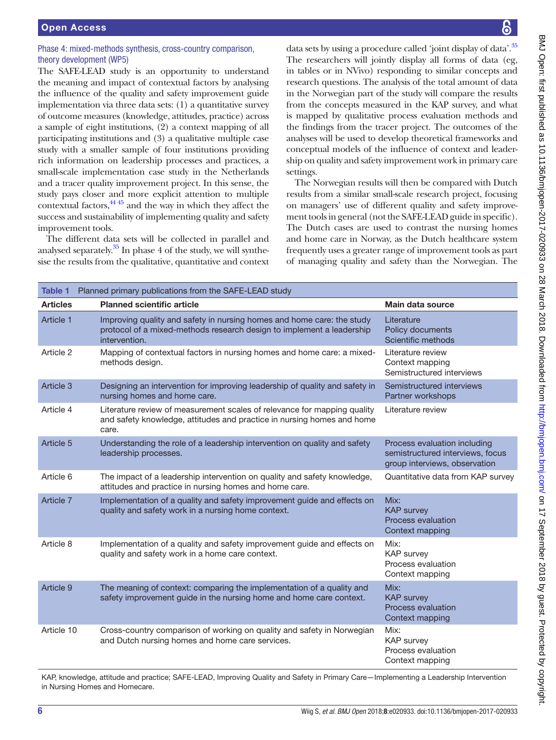# Phase 4: mixed-methods synthesis, cross-country comparison, theory development (WP5)

The SAFE-LEAD study is an opportunity to understand the meaning and impact of contextual factors by analysing the influence of the quality and safety improvement guide implementation via three data sets: (1) a quantitative survey of outcome measures (knowledge, attitudes, practice) across a sample of eight institutions, (2) a context mapping of all participating institutions and (3) a qualitative multiple case study with a smaller sample of four institutions providing rich information on leadership processes and practices, a small-scale implementation case study in the Netherlands and a tracer quality improvement project. In this sense, the study pays closer and more explicit attention to multiple contextual factors, $44\frac{45}{2}$  and the way in which they affect the success and sustainability of implementing quality and safety improvement tools.

The different data sets will be collected in parallel and analysed separately. $35$  In phase 4 of the study, we will synthesise the results from the qualitative, quantitative and context data sets by using a procedure called 'joint display of data'.<sup>35</sup> The researchers will jointly display all forms of data (eg, in tables or in NVivo) responding to similar concepts and research questions. The analysis of the total amount of data in the Norwegian part of the study will compare the results from the concepts measured in the KAP survey, and what is mapped by qualitative process evaluation methods and the findings from the tracer project. The outcomes of the analyses will be used to develop theoretical frameworks and conceptual models of the influence of context and leadership on quality and safety improvement work in primary care settings.

The Norwegian results will then be compared with Dutch results from a similar small-scale research project, focusing on managers' use of different quality and safety improvement tools in general (not the SAFE-LEAD guide in specific). The Dutch cases are used to contrast the nursing homes and home care in Norway, as the Dutch healthcare system frequently uses a greater range of improvement tools as part of managing quality and safety than the Norwegian. The

<span id="page-5-0"></span>

| Planned primary publications from the SAFE-LEAD study<br>Table 1 |                                                                                                                                                                  |                                                                                                   |
|------------------------------------------------------------------|------------------------------------------------------------------------------------------------------------------------------------------------------------------|---------------------------------------------------------------------------------------------------|
| <b>Articles</b>                                                  | <b>Planned scientific article</b>                                                                                                                                | Main data source                                                                                  |
| Article 1                                                        | Improving quality and safety in nursing homes and home care: the study<br>protocol of a mixed-methods research design to implement a leadership<br>intervention. | Literature<br>Policy documents<br>Scientific methods                                              |
| Article 2                                                        | Mapping of contextual factors in nursing homes and home care: a mixed-<br>methods design.                                                                        | Literature review<br>Context mapping<br>Semistructured interviews                                 |
| Article 3                                                        | Designing an intervention for improving leadership of quality and safety in<br>nursing homes and home care.                                                      | Semistructured interviews<br>Partner workshops                                                    |
| Article 4                                                        | Literature review of measurement scales of relevance for mapping quality<br>and safety knowledge, attitudes and practice in nursing homes and home<br>care.      | Literature review                                                                                 |
| Article 5                                                        | Understanding the role of a leadership intervention on quality and safety<br>leadership processes.                                                               | Process evaluation including<br>semistructured interviews, focus<br>group interviews, observation |
| Article 6                                                        | The impact of a leadership intervention on quality and safety knowledge,<br>attitudes and practice in nursing homes and home care.                               | Quantitative data from KAP survey                                                                 |
| Article 7                                                        | Implementation of a quality and safety improvement guide and effects on<br>quality and safety work in a nursing home context.                                    | Mix:<br><b>KAP</b> survey<br>Process evaluation<br>Context mapping                                |
| Article 8                                                        | Implementation of a quality and safety improvement guide and effects on<br>quality and safety work in a home care context.                                       | Mix:<br>KAP survey<br>Process evaluation<br>Context mapping                                       |
| Article 9                                                        | The meaning of context: comparing the implementation of a quality and<br>safety improvement guide in the nursing home and home care context.                     | Mix:<br><b>KAP</b> survey<br>Process evaluation<br>Context mapping                                |
| Article 10                                                       | Cross-country comparison of working on quality and safety in Norwegian<br>and Dutch nursing homes and home care services.                                        | Mix:<br><b>KAP</b> survey<br>Process evaluation<br>Context mapping                                |

KAP, knowledge, attitude and practice; SAFE-LEAD, Improving Quality and Safety in Primary Care—Implementing a Leadership Intervention in Nursing Homes and Homecare.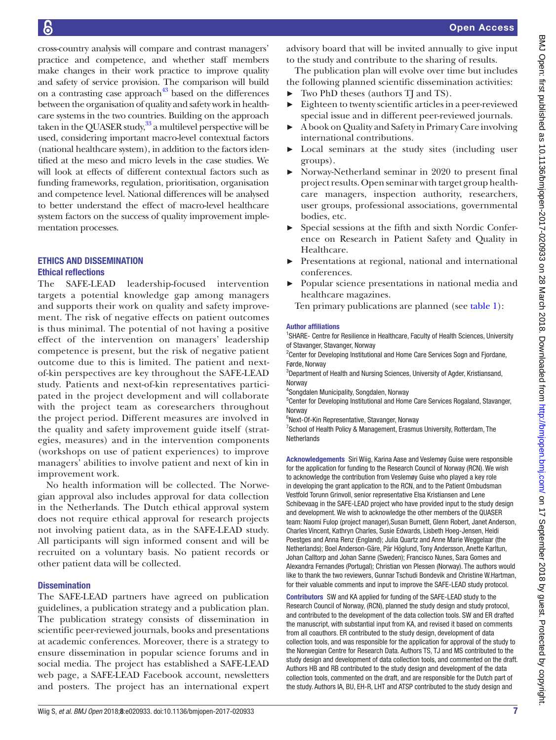cross-country analysis will compare and contrast managers' practice and competence, and whether staff members make changes in their work practice to improve quality and safety of service provision. The comparison will build on a contrasting case approach $43$  based on the differences between the organisation of quality and safety work in healthcare systems in the two countries. Building on the approach taken in the QUASER study, $33$  a multilevel perspective will be used, considering important macro-level contextual factors (national healthcare system), in addition to the factors identified at the meso and micro levels in the case studies. We will look at effects of different contextual factors such as funding frameworks, regulation, prioritisation, organisation and competence level. National differences will be analysed to better understand the effect of macro-level healthcare system factors on the success of quality improvement implementation processes.

# Ethics and dissemination Ethical reflections

The SAFE-LEAD leadership-focused intervention targets a potential knowledge gap among managers and supports their work on quality and safety improvement. The risk of negative effects on patient outcomes is thus minimal. The potential of not having a positive effect of the intervention on managers' leadership competence is present, but the risk of negative patient outcome due to this is limited. The patient and nextof-kin perspectives are key throughout the SAFE-LEAD study. Patients and next-of-kin representatives participated in the project development and will collaborate with the project team as coresearchers throughout the project period. Different measures are involved in the quality and safety improvement guide itself (strategies, measures) and in the intervention components (workshops on use of patient experiences) to improve managers' abilities to involve patient and next of kin in improvement work.

No health information will be collected. The Norwegian approval also includes approval for data collection in the Netherlands. The Dutch ethical approval system does not require ethical approval for research projects not involving patient data, as in the SAFE-LEAD study. All participants will sign informed consent and will be recruited on a voluntary basis. No patient records or other patient data will be collected.

# **Dissemination**

The SAFE-LEAD partners have agreed on publication guidelines, a publication strategy and a publication plan. The publication strategy consists of dissemination in scientific peer-reviewed journals, books and presentations at academic conferences. Moreover, there is a strategy to ensure dissemination in popular science forums and in social media. The project has established a SAFE-LEAD web page, a SAFE-LEAD Facebook account, newsletters and posters. The project has an international expert advisory board that will be invited annually to give input to the study and contribute to the sharing of results.

The publication plan will evolve over time but includes the following planned scientific dissemination activities:

- Two PhD theses (authors TJ and TS).
- ► Eighteen to twenty scientific articles in a peer-reviewed special issue and in different peer-reviewed journals.
- ► A book on Quality and Safety in Primary Care involving international contributions.
- ► Local seminars at the study sites (including user groups).
- ► Norway-Netherland seminar in 2020 to present final project results. Open seminar with target group healthcare managers, inspection authority, researchers, user groups, professional associations, governmental bodies, etc.
- ► Special sessions at the fifth and sixth Nordic Conference on Research in Patient Safety and Quality in Healthcare.
- ► Presentations at regional, national and international conferences.
- ► Popular science presentations in national media and healthcare magazines.

Ten primary publications are planned (see [table](#page-5-0) 1):

#### Author affiliations

<sup>1</sup>SHARE- Centre for Resilience in Healthcare, Faculty of Health Sciences, University of Stavanger, Stavanger, Norway

<sup>2</sup> Center for Developing Institutional and Home Care Services Sogn and Fjordane, Førde, Norway

<sup>3</sup>Department of Health and Nursing Sciences, University of Agder, Kristiansand, Norway

4 Songdalen Municipality, Songdalen, Norway

<sup>5</sup> Center for Developing Institutional and Home Care Services Rogaland, Stavanger, Norway

6 Next-Of-Kin Representative, Stavanger, Norway

<sup>7</sup>School of Health Policy & Management, Erasmus University, Rotterdam, The **Netherlands** 

Acknowledgements Siri Wiig, Karina Aase and Veslemøy Guise were responsible for the application for funding to the Research Council of Norway (RCN). We wish to acknowledge the contribution from Veslemøy Guise who played a key role in developing the grant application to the RCN, and to the Patient Ombudsman Vestfold Torunn Grinvoll, senior representative Elsa Kristiansen and Lene Schibevaag in the SAFE-LEAD project who have provided input to the study design and development. We wish to acknowledge the other members of the QUASER team: Naomi Fulop (project manager),Susan Burnett, Glenn Robert, Janet Anderson, Charles Vincent, Kathryn Charles, Susie Edwards, Lisbeth Hoeg-Jensen, Heidi Poestges and Anna Renz (England); Julia Quartz and Anne Marie Weggelaar (the Netherlands); Boel Anderson-Gäre, Pär Höglund, Tony Andersson, Anette Karltun, Johan Calltorp and Johan Sanne (Sweden); Francisco Nunes, Sara Gomes and Alexandra Fernandes (Portugal); Christian von Plessen (Norway). The authors would like to thank the two reviewers, Gunnar Tschudi Bondevik and Christine W.Hartman, for their valuable comments and input to improve the SAFE-LEAD study protocol.

Contributors SW and KA applied for funding of the SAFE-LEAD study to the Research Council of Norway, (RCN), planned the study design and study protocol, and contributed to the development of the data collection tools. SW and ER drafted the manuscript, with substantial input from KA, and revised it based on comments from all coauthors. ER contributed to the study design, development of data collection tools, and was responsible for the application for approval of the study to the Norwegian Centre for Research Data. Authors TS, TJ and MS contributed to the study design and development of data collection tools, and commented on the draft. Authors HB and RB contributed to the study design and development of the data collection tools, commented on the draft, and are responsible for the Dutch part of the study. Authors IA, BU, EH-R, LHT and ATSP contributed to the study design and